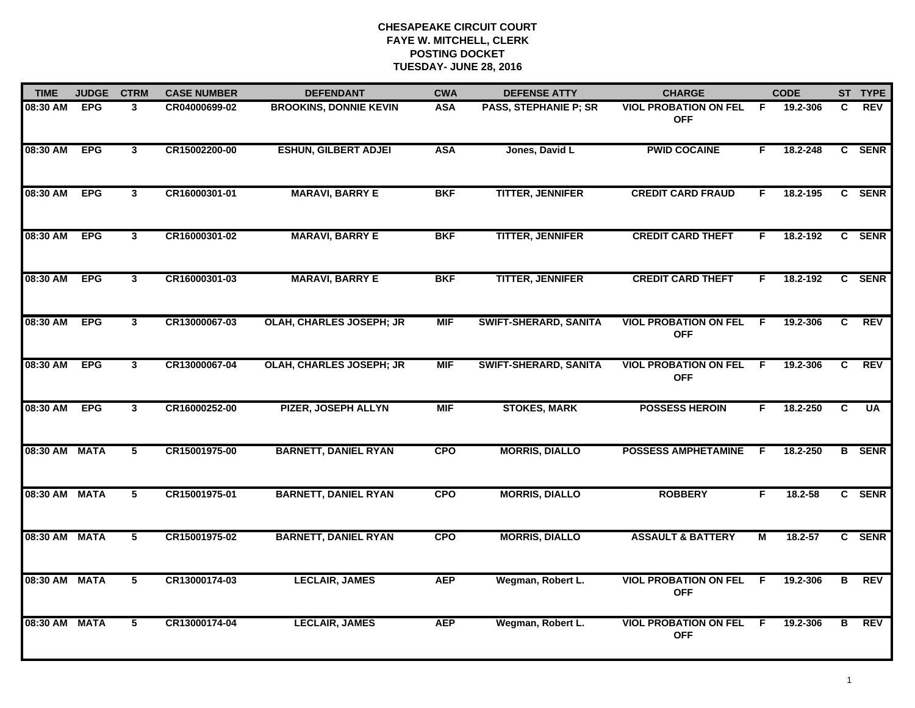| <b>TIME</b>   | <b>JUDGE</b> | <b>CTRM</b>    | <b>CASE NUMBER</b> | <b>DEFENDANT</b>              | <b>CWA</b> | <b>DEFENSE ATTY</b>          | <b>CHARGE</b>                              |     | <b>CODE</b> |    | ST TYPE       |
|---------------|--------------|----------------|--------------------|-------------------------------|------------|------------------------------|--------------------------------------------|-----|-------------|----|---------------|
| 08:30 AM      | <b>EPG</b>   | 3              | CR04000699-02      | <b>BROOKINS, DONNIE KEVIN</b> | <b>ASA</b> | <b>PASS, STEPHANIE P; SR</b> | <b>VIOL PROBATION ON FEL</b><br><b>OFF</b> | - F | 19.2-306    | C. | REV           |
| 08:30 AM      | <b>EPG</b>   | $\mathbf{3}$   | CR15002200-00      | <b>ESHUN, GILBERT ADJEI</b>   | <b>ASA</b> | Jones, David L               | <b>PWID COCAINE</b>                        | F.  | 18.2-248    |    | C SENR        |
| 08:30 AM      | <b>EPG</b>   | $\mathbf{3}$   | CR16000301-01      | <b>MARAVI, BARRY E</b>        | <b>BKF</b> | <b>TITTER, JENNIFER</b>      | <b>CREDIT CARD FRAUD</b>                   | F.  | 18.2-195    |    | C SENR        |
| 08:30 AM      | <b>EPG</b>   | 3              | CR16000301-02      | <b>MARAVI, BARRY E</b>        | <b>BKF</b> | <b>TITTER, JENNIFER</b>      | <b>CREDIT CARD THEFT</b>                   | F   | 18.2-192    |    | C SENR        |
| 08:30 AM      | <b>EPG</b>   | $\mathbf{3}$   | CR16000301-03      | <b>MARAVI, BARRY E</b>        | <b>BKF</b> | <b>TITTER, JENNIFER</b>      | <b>CREDIT CARD THEFT</b>                   | F.  | 18.2-192    |    | C SENR        |
| 08:30 AM      | <b>EPG</b>   | $\mathbf{3}$   | CR13000067-03      | OLAH, CHARLES JOSEPH; JR      | <b>MIF</b> | <b>SWIFT-SHERARD, SANITA</b> | <b>VIOL PROBATION ON FEL</b><br><b>OFF</b> | F   | 19.2-306    | C  | <b>REV</b>    |
| 08:30 AM      | <b>EPG</b>   | $\mathbf{3}$   | CR13000067-04      | OLAH, CHARLES JOSEPH; JR      | <b>MIF</b> | <b>SWIFT-SHERARD, SANITA</b> | <b>VIOL PROBATION ON FEL</b><br><b>OFF</b> | F.  | 19.2-306    | C. | <b>REV</b>    |
| 08:30 AM      | <b>EPG</b>   | $\mathbf{3}$   | CR16000252-00      | <b>PIZER, JOSEPH ALLYN</b>    | <b>MIF</b> | <b>STOKES, MARK</b>          | <b>POSSESS HEROIN</b>                      | F.  | 18.2-250    | C  | <b>UA</b>     |
| 08:30 AM      | <b>MATA</b>  | 5              | CR15001975-00      | <b>BARNETT, DANIEL RYAN</b>   | <b>CPO</b> | <b>MORRIS, DIALLO</b>        | <b>POSSESS AMPHETAMINE</b>                 | E   | 18.2-250    |    | <b>B</b> SENR |
| 08:30 AM MATA |              | 5              | CR15001975-01      | <b>BARNETT, DANIEL RYAN</b>   | <b>CPO</b> | <b>MORRIS, DIALLO</b>        | <b>ROBBERY</b>                             | F.  | $18.2 - 58$ |    | C SENR        |
| 08:30 AM MATA |              | $\overline{5}$ | CR15001975-02      | <b>BARNETT, DANIEL RYAN</b>   | <b>CPO</b> | <b>MORRIS, DIALLO</b>        | <b>ASSAULT &amp; BATTERY</b>               | М   | 18.2-57     |    | C SENR        |
| 08:30 AM      | <b>MATA</b>  | 5              | CR13000174-03      | <b>LECLAIR, JAMES</b>         | <b>AEP</b> | Wegman, Robert L.            | <b>VIOL PROBATION ON FEL</b><br><b>OFF</b> | -F  | 19.2-306    | B  | <b>REV</b>    |
| 08:30 AM      | <b>MATA</b>  | 5              | CR13000174-04      | <b>LECLAIR, JAMES</b>         | <b>AEP</b> | Wegman, Robert L.            | <b>VIOL PROBATION ON FEL</b><br><b>OFF</b> | -F  | 19.2-306    | В  | <b>REV</b>    |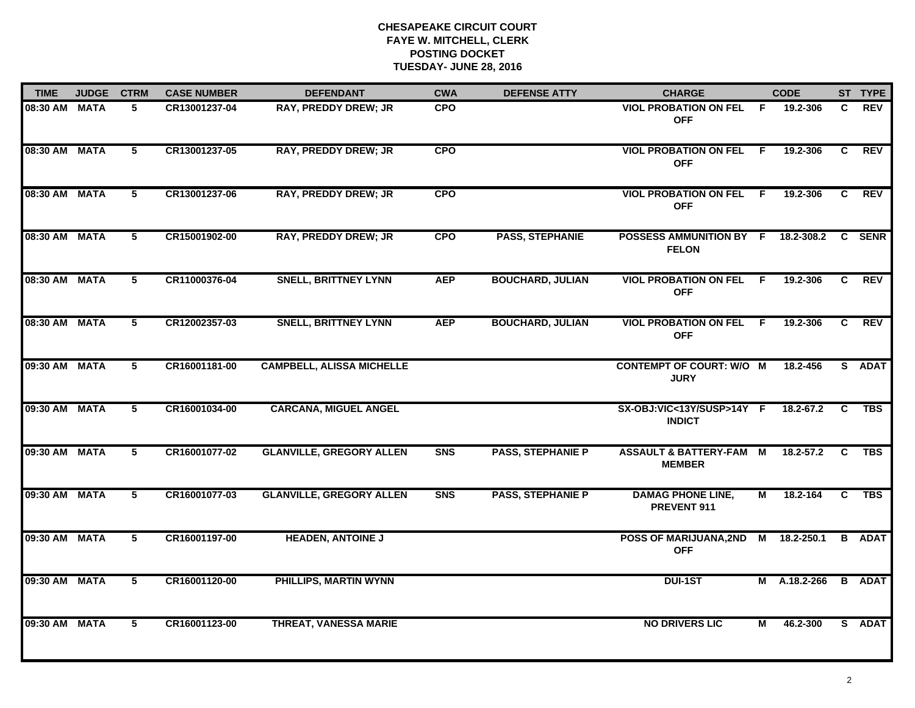| <b>TIME</b>   | <b>JUDGE</b> | <b>CTRM</b>    | <b>CASE NUMBER</b> | <b>DEFENDANT</b>                 | <b>CWA</b> | <b>DEFENSE ATTY</b>      | <b>CHARGE</b>                                       |     | <b>CODE</b>  |              | ST TYPE       |
|---------------|--------------|----------------|--------------------|----------------------------------|------------|--------------------------|-----------------------------------------------------|-----|--------------|--------------|---------------|
| 08:30 AM MATA |              | 5.             | CR13001237-04      | <b>RAY, PREDDY DREW; JR</b>      | <b>CPO</b> |                          | <b>VIOL PROBATION ON FEL F</b><br><b>OFF</b>        |     | 19.2-306     | C            | <b>REV</b>    |
| 08:30 AM      | <b>MATA</b>  | $\overline{5}$ | CR13001237-05      | <b>RAY, PREDDY DREW; JR</b>      | <b>CPO</b> |                          | <b>VIOL PROBATION ON FEL</b><br><b>OFF</b>          | F   | 19.2-306     | C.           | REV           |
| 08:30 AM      | <b>MATA</b>  | $5^{\circ}$    | CR13001237-06      | <b>RAY, PREDDY DREW; JR</b>      | <b>CPO</b> |                          | <b>VIOL PROBATION ON FEL</b><br><b>OFF</b>          | - F | 19.2-306     | C            | REV           |
| 08:30 AM      | <b>MATA</b>  | 5              | CR15001902-00      | <b>RAY, PREDDY DREW; JR</b>      | <b>CPO</b> | <b>PASS, STEPHANIE</b>   | POSSESS AMMUNITION BY F 18.2-308.2<br><b>FELON</b>  |     |              |              | C SENR        |
| 08:30 AM      | <b>MATA</b>  | 5              | CR11000376-04      | <b>SNELL, BRITTNEY LYNN</b>      | <b>AEP</b> | <b>BOUCHARD, JULIAN</b>  | <b>VIOL PROBATION ON FEL</b><br><b>OFF</b>          | -F  | 19.2-306     | $\mathbf{C}$ | <b>REV</b>    |
| 08:30 AM MATA |              | 5              | CR12002357-03      | <b>SNELL, BRITTNEY LYNN</b>      | <b>AEP</b> | <b>BOUCHARD, JULIAN</b>  | <b>VIOL PROBATION ON FEL F</b><br><b>OFF</b>        |     | 19.2-306     | C.           | REV           |
| 09:30 AM MATA |              | $\overline{5}$ | CR16001181-00      | <b>CAMPBELL, ALISSA MICHELLE</b> |            |                          | <b>CONTEMPT OF COURT: W/O M</b><br><b>JURY</b>      |     | 18.2-456     |              | S ADAT        |
| 09:30 AM MATA |              | 5              | CR16001034-00      | <b>CARCANA, MIGUEL ANGEL</b>     |            |                          | SX-OBJ:VIC<13Y/SUSP>14Y F<br><b>INDICT</b>          |     | 18.2-67.2    | C            | <b>TBS</b>    |
| 09:30 AM      | <b>MATA</b>  | 5              | CR16001077-02      | <b>GLANVILLE, GREGORY ALLEN</b>  | <b>SNS</b> | <b>PASS, STEPHANIE P</b> | <b>ASSAULT &amp; BATTERY-FAM M</b><br><b>MEMBER</b> |     | 18.2-57.2    | C            | <b>TBS</b>    |
| 09:30 AM      | <b>MATA</b>  | 5              | CR16001077-03      | <b>GLANVILLE, GREGORY ALLEN</b>  | <b>SNS</b> | <b>PASS, STEPHANIE P</b> | <b>DAMAG PHONE LINE,</b><br>PREVENT 911             | М   | 18.2-164     | C.           | <b>TBS</b>    |
| 09:30 AM      | <b>MATA</b>  | 5              | CR16001197-00      | <b>HEADEN, ANTOINE J</b>         |            |                          | POSS OF MARIJUANA,2ND M 18.2-250.1<br><b>OFF</b>    |     |              |              | <b>B</b> ADAT |
| 09:30 AM      | <b>MATA</b>  | $\overline{5}$ | CR16001120-00      | PHILLIPS, MARTIN WYNN            |            |                          | <b>DUI-1ST</b>                                      |     | M A.18.2-266 |              | <b>B</b> ADAT |
| 09:30 AM      | <b>MATA</b>  | 5              | CR16001123-00      | <b>THREAT, VANESSA MARIE</b>     |            |                          | <b>NO DRIVERS LIC</b>                               | М   | 46.2-300     |              | S ADAT        |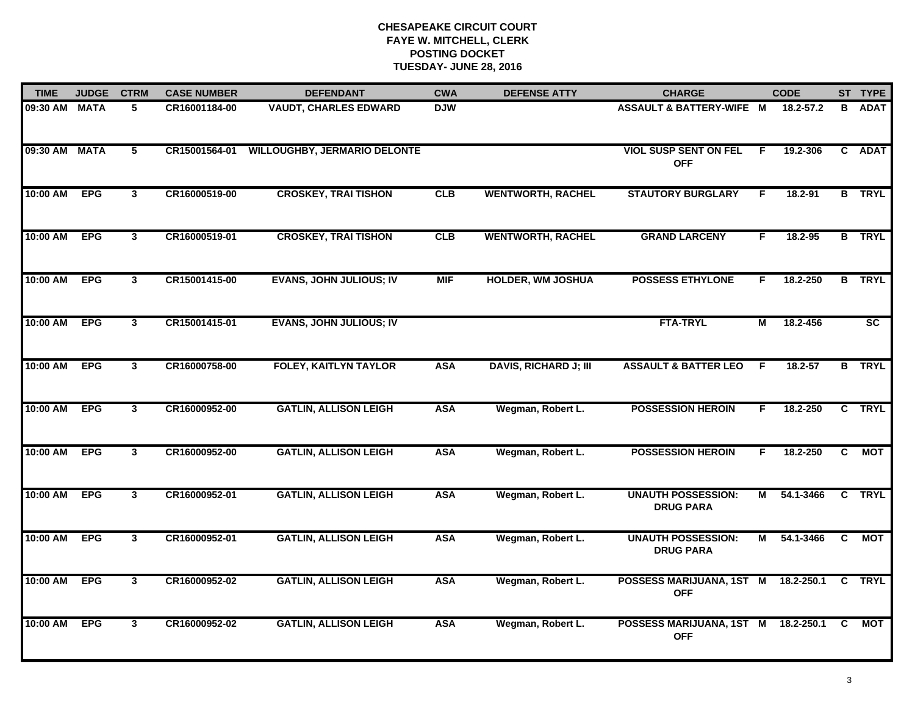| <b>TIME</b>   | <b>JUDGE</b> | <b>CTRM</b>             | <b>CASE NUMBER</b> | <b>DEFENDANT</b>                    | <b>CWA</b> | <b>DEFENSE ATTY</b>          | <b>CHARGE</b>                                     |    | <b>CODE</b> |                | ST TYPE       |
|---------------|--------------|-------------------------|--------------------|-------------------------------------|------------|------------------------------|---------------------------------------------------|----|-------------|----------------|---------------|
| 09:30 AM MATA |              | 5                       | CR16001184-00      | <b>VAUDT, CHARLES EDWARD</b>        | <b>DJW</b> |                              | ASSAULT & BATTERY-WIFE M                          |    | 18.2-57.2   | B              | <b>ADAT</b>   |
| 09:30 AM      | <b>MATA</b>  | $\overline{5}$          | CR15001564-01      | <b>WILLOUGHBY, JERMARIO DELONTE</b> |            |                              | <b>VIOL SUSP SENT ON FEL</b><br><b>OFF</b>        | E  | 19.2-306    | $\mathbf{c}$   | <b>ADAT</b>   |
| 10:00 AM      | <b>EPG</b>   | $\overline{3}$          | CR16000519-00      | <b>CROSKEY, TRAI TISHON</b>         | CLB        | <b>WENTWORTH, RACHEL</b>     | <b>STAUTORY BURGLARY</b>                          | F  | 18.2-91     |                | <b>B</b> TRYL |
| 10:00 AM      | <b>EPG</b>   | $\mathbf{3}$            | CR16000519-01      | <b>CROSKEY, TRAI TISHON</b>         | CLB        | <b>WENTWORTH, RACHEL</b>     | <b>GRAND LARCENY</b>                              | F. | $18.2 - 95$ |                | <b>B</b> TRYL |
| 10:00 AM      | <b>EPG</b>   | $\mathbf{3}$            | CR15001415-00      | <b>EVANS, JOHN JULIOUS; IV</b>      | <b>MIF</b> | <b>HOLDER, WM JOSHUA</b>     | <b>POSSESS ETHYLONE</b>                           | F. | 18.2-250    |                | <b>B</b> TRYL |
| 10:00 AM      | <b>EPG</b>   | $\mathbf{3}$            | CR15001415-01      | <b>EVANS, JOHN JULIOUS; IV</b>      |            |                              | <b>FTA-TRYL</b>                                   | М  | 18.2-456    |                | <b>SC</b>     |
| 10:00 AM      | <b>EPG</b>   | $\overline{\mathbf{3}}$ | CR16000758-00      | <b>FOLEY, KAITLYN TAYLOR</b>        | <b>ASA</b> | <b>DAVIS, RICHARD J; III</b> | <b>ASSAULT &amp; BATTER LEO</b>                   | -F | $18.2 - 57$ | $\overline{B}$ | <b>TRYL</b>   |
| 10:00 AM      | <b>EPG</b>   | $\overline{\mathbf{3}}$ | CR16000952-00      | <b>GATLIN, ALLISON LEIGH</b>        | <b>ASA</b> | Wegman, Robert L.            | <b>POSSESSION HEROIN</b>                          | F  | 18.2-250    |                | C TRYL        |
| 10:00 AM      | <b>EPG</b>   | $\mathbf{3}$            | CR16000952-00      | <b>GATLIN, ALLISON LEIGH</b>        | <b>ASA</b> | Wegman, Robert L.            | <b>POSSESSION HEROIN</b>                          | F  | 18.2-250    | C              | <b>MOT</b>    |
| 10:00 AM      | <b>EPG</b>   | $\mathbf{3}$            | CR16000952-01      | <b>GATLIN, ALLISON LEIGH</b>        | <b>ASA</b> | Wegman, Robert L.            | <b>UNAUTH POSSESSION:</b><br><b>DRUG PARA</b>     | Μ  | 54.1-3466   |                | C TRYL        |
| 10:00 AM      | <b>EPG</b>   | $3\phantom{a}$          | CR16000952-01      | <b>GATLIN, ALLISON LEIGH</b>        | <b>ASA</b> | Wegman, Robert L.            | <b>UNAUTH POSSESSION:</b><br><b>DRUG PARA</b>     | M  | 54.1-3466   | C              | MOT           |
| 10:00 AM      | <b>EPG</b>   | $\mathbf{3}$            | CR16000952-02      | <b>GATLIN, ALLISON LEIGH</b>        | <b>ASA</b> | Wegman, Robert L.            | POSSESS MARIJUANA, 1ST M 18.2-250.1<br><b>OFF</b> |    |             |                | C TRYL        |
| 10:00 AM      | <b>EPG</b>   | $\mathbf{3}$            | CR16000952-02      | <b>GATLIN, ALLISON LEIGH</b>        | <b>ASA</b> | Wegman, Robert L.            | POSSESS MARIJUANA, 1ST M 18.2-250.1<br><b>OFF</b> |    |             | C              | МОТ           |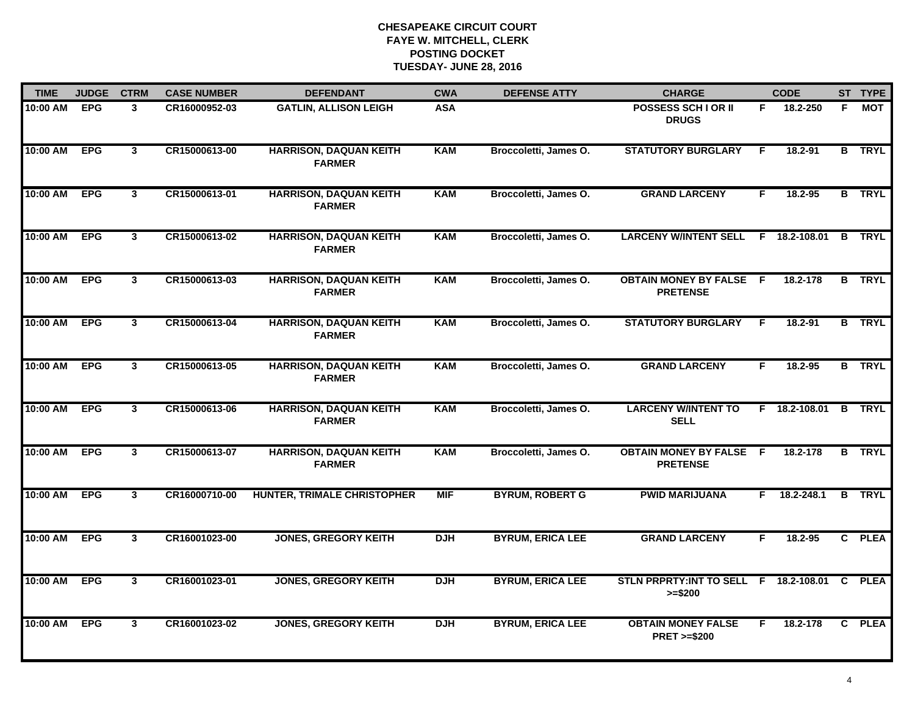| <b>TIME</b> | <b>JUDGE</b> | <b>CTRM</b>             | <b>CASE NUMBER</b> | <b>DEFENDANT</b>                               | <b>CWA</b> | <b>DEFENSE ATTY</b>     | <b>CHARGE</b>                                             |    | <b>CODE</b>          |    | ST TYPE       |
|-------------|--------------|-------------------------|--------------------|------------------------------------------------|------------|-------------------------|-----------------------------------------------------------|----|----------------------|----|---------------|
| 10:00 AM    | <b>EPG</b>   | $\mathbf{3}$            | CR16000952-03      | <b>GATLIN, ALLISON LEIGH</b>                   | <b>ASA</b> |                         | <b>POSSESS SCH I OR II</b><br><b>DRUGS</b>                | F. | 18.2-250             | F. | MOT           |
| 10:00 AM    | <b>EPG</b>   | 3                       | CR15000613-00      | <b>HARRISON, DAQUAN KEITH</b><br><b>FARMER</b> | <b>KAM</b> | Broccoletti, James O.   | <b>STATUTORY BURGLARY</b>                                 | F. | 18.2-91              |    | <b>B</b> TRYL |
| 10:00 AM    | <b>EPG</b>   | $\overline{3}$          | CR15000613-01      | <b>HARRISON, DAQUAN KEITH</b><br><b>FARMER</b> | <b>KAM</b> | Broccoletti, James O.   | <b>GRAND LARCENY</b>                                      | F. | 18.2-95              |    | <b>B</b> TRYL |
| 10:00 AM    | <b>EPG</b>   | $\mathbf{3}$            | CR15000613-02      | <b>HARRISON, DAQUAN KEITH</b><br><b>FARMER</b> | <b>KAM</b> | Broccoletti, James O.   | LARCENY W/INTENT SELL F 18.2-108.01 B TRYL                |    |                      |    |               |
| 10:00 AM    | <b>EPG</b>   | $\mathbf{3}$            | CR15000613-03      | <b>HARRISON, DAQUAN KEITH</b><br><b>FARMER</b> | <b>KAM</b> | Broccoletti, James O.   | <b>OBTAIN MONEY BY FALSE F</b><br><b>PRETENSE</b>         |    | 18.2-178             |    | <b>B</b> TRYL |
| 10:00 AM    | <b>EPG</b>   | $\mathbf{3}$            | CR15000613-04      | <b>HARRISON, DAQUAN KEITH</b><br><b>FARMER</b> | <b>KAM</b> | Broccoletti, James O.   | <b>STATUTORY BURGLARY</b>                                 | F. | 18.2-91              |    | <b>B</b> TRYL |
| 10:00 AM    | <b>EPG</b>   | $\overline{\mathbf{3}}$ | CR15000613-05      | <b>HARRISON, DAQUAN KEITH</b><br><b>FARMER</b> | <b>KAM</b> | Broccoletti, James O.   | <b>GRAND LARCENY</b>                                      | F. | $18.2 - 95$          |    | <b>B</b> TRYL |
| 10:00 AM    | <b>EPG</b>   | 3                       | CR15000613-06      | <b>HARRISON, DAQUAN KEITH</b><br><b>FARMER</b> | <b>KAM</b> | Broccoletti, James O.   | <b>LARCENY W/INTENT TO</b><br><b>SELL</b>                 |    | F 18.2-108.01 B TRYL |    |               |
| 10:00 AM    | <b>EPG</b>   | $\mathbf{3}$            | CR15000613-07      | <b>HARRISON, DAQUAN KEITH</b><br><b>FARMER</b> | <b>KAM</b> | Broccoletti, James O.   | <b>OBTAIN MONEY BY FALSE F</b><br><b>PRETENSE</b>         |    | 18.2-178             |    | <b>B</b> TRYL |
| 10:00 AM    | <b>EPG</b>   | $\mathbf{3}$            | CR16000710-00      | <b>HUNTER, TRIMALE CHRISTOPHER</b>             | <b>MIF</b> | <b>BYRUM, ROBERT G</b>  | <b>PWID MARIJUANA</b>                                     |    | $F$ 18.2-248.1       |    | <b>B</b> TRYL |
| 10:00 AM    | <b>EPG</b>   | $3\phantom{a}$          | CR16001023-00      | <b>JONES, GREGORY KEITH</b>                    | <b>DJH</b> | <b>BYRUM, ERICA LEE</b> | <b>GRAND LARCENY</b>                                      | F. | 18.2-95              |    | C PLEA        |
| 10:00 AM    | <b>EPG</b>   | $\overline{3}$          | CR16001023-01      | <b>JONES, GREGORY KEITH</b>                    | <b>DJH</b> | <b>BYRUM, ERICA LEE</b> | STLN PRPRTY:INT TO SELL F 18.2-108.01 C PLEA<br>$>= $200$ |    |                      |    |               |
| 10:00 AM    | <b>EPG</b>   | 3                       | CR16001023-02      | <b>JONES, GREGORY KEITH</b>                    | <b>DJH</b> | <b>BYRUM, ERICA LEE</b> | <b>OBTAIN MONEY FALSE</b><br><b>PRET &gt;=\$200</b>       | F. | 18.2-178             |    | C PLEA        |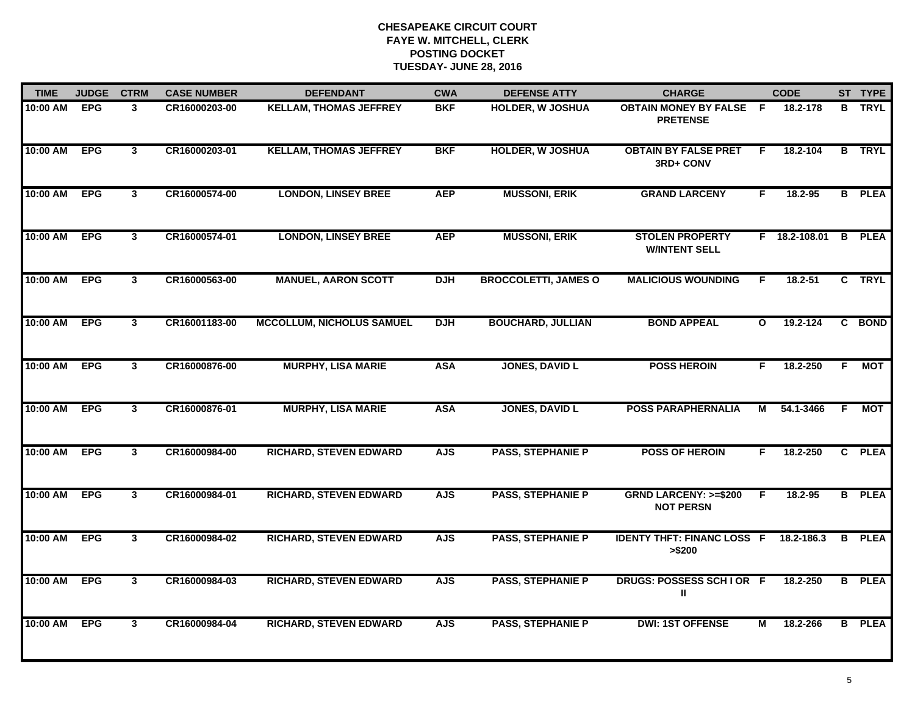| <b>TIME</b>  | <b>JUDGE</b> | <b>CTRM</b>    | <b>CASE NUMBER</b> | <b>DEFENDANT</b>                 | <b>CWA</b> | <b>DEFENSE ATTY</b>         | <b>CHARGE</b>                                       |              | <b>CODE</b>   |                | ST TYPE       |
|--------------|--------------|----------------|--------------------|----------------------------------|------------|-----------------------------|-----------------------------------------------------|--------------|---------------|----------------|---------------|
| 10:00 AM     | <b>EPG</b>   | 3              | CR16000203-00      | <b>KELLAM, THOMAS JEFFREY</b>    | <b>BKF</b> | <b>HOLDER, W JOSHUA</b>     | <b>OBTAIN MONEY BY FALSE F</b><br><b>PRETENSE</b>   |              | 18.2-178      |                | <b>B</b> TRYL |
| 10:00 AM     | <b>EPG</b>   | $\mathbf{3}$   | CR16000203-01      | <b>KELLAM, THOMAS JEFFREY</b>    | <b>BKF</b> | <b>HOLDER, W JOSHUA</b>     | <b>OBTAIN BY FALSE PRET</b><br>3RD+ CONV            | F            | 18.2-104      |                | <b>B</b> TRYL |
| 10:00 AM     | <b>EPG</b>   | $\overline{3}$ | CR16000574-00      | <b>LONDON, LINSEY BREE</b>       | <b>AEP</b> | <b>MUSSONI, ERIK</b>        | <b>GRAND LARCENY</b>                                | F.           | 18.2-95       |                | <b>B</b> PLEA |
| 10:00 AM     | <b>EPG</b>   | $\mathbf{3}$   | CR16000574-01      | <b>LONDON, LINSEY BREE</b>       | <b>AEP</b> | <b>MUSSONI, ERIK</b>        | <b>STOLEN PROPERTY</b><br><b>W/INTENT SELL</b>      |              | F 18.2-108.01 | B              | <b>PLEA</b>   |
| 10:00 AM     | <b>EPG</b>   | $\mathbf{3}$   | CR16000563-00      | <b>MANUEL, AARON SCOTT</b>       | <b>DJH</b> | <b>BROCCOLETTI, JAMES O</b> | <b>MALICIOUS WOUNDING</b>                           | F.           | 18.2-51       |                | C TRYL        |
| 10:00 AM     | <b>EPG</b>   | $\mathbf{3}$   | CR16001183-00      | <b>MCCOLLUM, NICHOLUS SAMUEL</b> | <b>DJH</b> | <b>BOUCHARD, JULLIAN</b>    | <b>BOND APPEAL</b>                                  | $\mathbf{o}$ | 19.2-124      |                | C BOND        |
| 10:00 AM     | <b>EPG</b>   | $\mathbf{3}$   | CR16000876-00      | <b>MURPHY, LISA MARIE</b>        | <b>ASA</b> | <b>JONES, DAVID L</b>       | <b>POSS HEROIN</b>                                  | F            | 18.2-250      | F.             | <b>MOT</b>    |
| 10:00 AM     | <b>EPG</b>   | $\mathbf{3}$   | CR16000876-01      | <b>MURPHY, LISA MARIE</b>        | <b>ASA</b> | <b>JONES, DAVID L</b>       | <b>POSS PARAPHERNALIA</b>                           | М            | 54.1-3466     | F.             | МОТ           |
| 10:00 AM     | <b>EPG</b>   | 3              | CR16000984-00      | <b>RICHARD, STEVEN EDWARD</b>    | <b>AJS</b> | <b>PASS, STEPHANIE P</b>    | <b>POSS OF HEROIN</b>                               | F.           | 18.2-250      |                | C PLEA        |
| 10:00 AM     | <b>EPG</b>   | $\mathbf{3}$   | CR16000984-01      | <b>RICHARD, STEVEN EDWARD</b>    | <b>AJS</b> | <b>PASS, STEPHANIE P</b>    | <b>GRND LARCENY: &gt;=\$200</b><br><b>NOT PERSN</b> | F            | $18.2 - 95$   |                | <b>B</b> PLEA |
| 10:00 AM EPG |              | $\mathbf{3}$   | CR16000984-02      | <b>RICHARD, STEVEN EDWARD</b>    | <b>AJS</b> | <b>PASS, STEPHANIE P</b>    | <b>IDENTY THFT: FINANC LOSS F</b><br>> \$200        |              | 18.2-186.3    |                | <b>B</b> PLEA |
| 10:00 AM EPG |              | $\mathbf{3}$   | CR16000984-03      | <b>RICHARD, STEVEN EDWARD</b>    | <b>AJS</b> | <b>PASS, STEPHANIE P</b>    | DRUGS: POSSESS SCHIOR F<br>Ш                        |              | 18.2-250      | $\overline{B}$ | <b>PLEA</b>   |
| 10:00 AM     | <b>EPG</b>   | $\mathbf{3}$   | CR16000984-04      | <b>RICHARD, STEVEN EDWARD</b>    | <b>AJS</b> | <b>PASS, STEPHANIE P</b>    | <b>DWI: 1ST OFFENSE</b>                             | м            | 18.2-266      |                | <b>B</b> PLEA |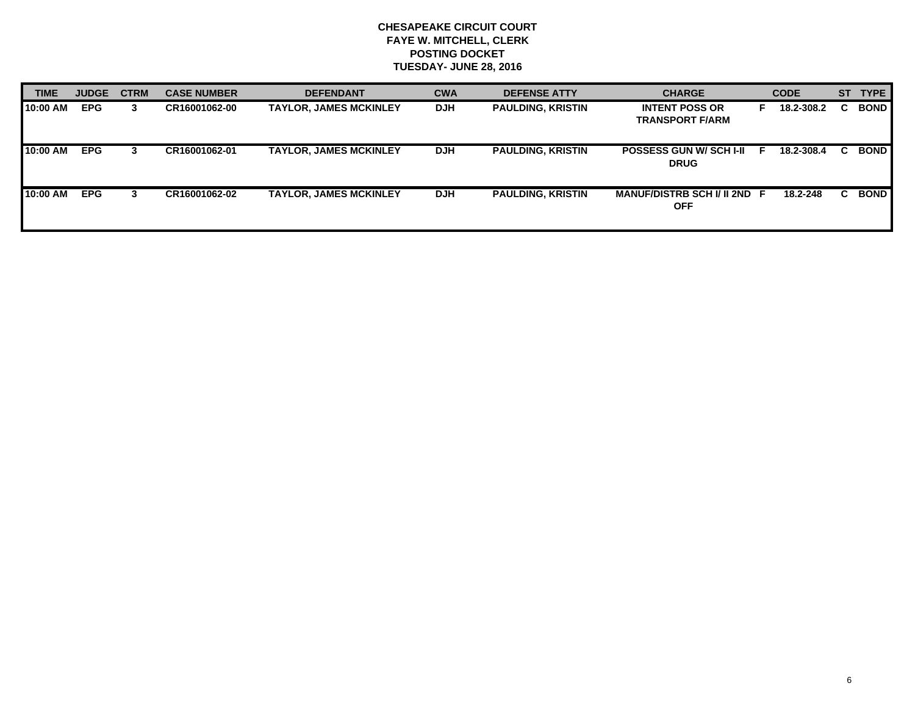| <b>TIME</b> | <b>JUDGE</b> | <b>CTRM</b> | <b>CASE NUMBER</b> | <b>DEFENDANT</b>              | <b>CWA</b> | <b>DEFENSE ATTY</b>      | <b>CHARGE</b>                                   |   | <b>CODE</b> | <b>ST</b> | <b>TYPE</b> |
|-------------|--------------|-------------|--------------------|-------------------------------|------------|--------------------------|-------------------------------------------------|---|-------------|-----------|-------------|
| 10:00 AM    | <b>EPG</b>   | 3           | CR16001062-00      | <b>TAYLOR, JAMES MCKINLEY</b> | <b>DJH</b> | <b>PAULDING, KRISTIN</b> | <b>INTENT POSS OR</b><br><b>TRANSPORT F/ARM</b> |   | 18.2-308.2  |           | <b>BOND</b> |
| 10:00 AM    | <b>EPG</b>   | 3.          | CR16001062-01      | <b>TAYLOR, JAMES MCKINLEY</b> | <b>DJH</b> | <b>PAULDING, KRISTIN</b> | <b>POSSESS GUN W/SCH I-II</b><br><b>DRUG</b>    | F | 18.2-308.4  |           | <b>BOND</b> |
| 10:00 AM    | <b>EPG</b>   | З.          | CR16001062-02      | <b>TAYLOR, JAMES MCKINLEY</b> | <b>DJH</b> | <b>PAULDING, KRISTIN</b> | MANUF/DISTRB SCH I/ II 2ND F<br><b>OFF</b>      |   | 18.2-248    |           | <b>BOND</b> |